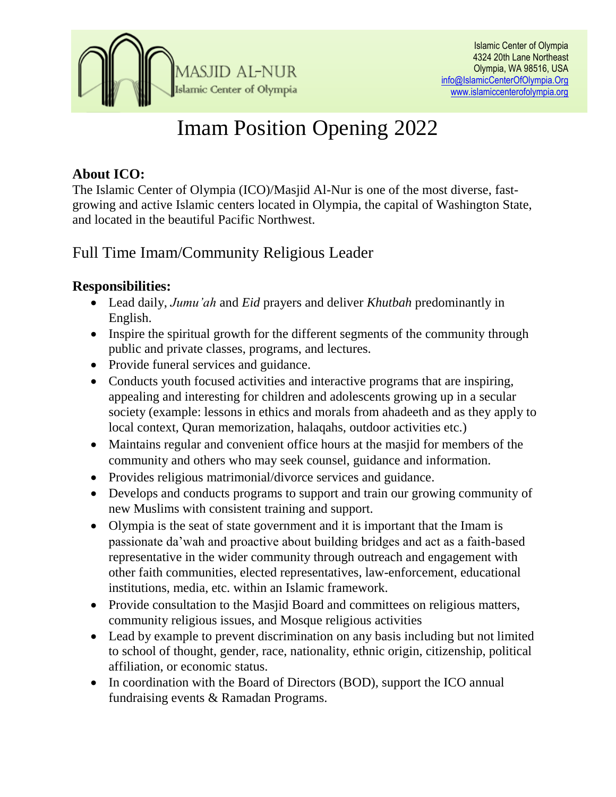

# Imam Position Opening 2022

## **About ICO:**

The Islamic Center of Olympia (ICO)/Masjid Al-Nur is one of the most diverse, fastgrowing and active Islamic centers located in [Olympia,](https://en.wikipedia.org/wiki/Olympia,_Washington) the capital of Washington State, and located in the beautiful Pacific Northwest.

## Full Time Imam/Community Religious Leader

## **Responsibilities:**

- Lead daily, *Jumu'ah* and *Eid* prayers and deliver *Khutbah* predominantly in English.
- Inspire the spiritual growth for the different segments of the community through public and private classes, programs, and lectures.
- Provide funeral services and guidance.
- Conducts youth focused activities and interactive programs that are inspiring, appealing and interesting for children and adolescents growing up in a secular society (example: lessons in ethics and morals from ahadeeth and as they apply to local context, Quran memorization, halaqahs, outdoor activities etc.)
- Maintains regular and convenient office hours at the masjid for members of the community and others who may seek counsel, guidance and information.
- Provides religious matrimonial/divorce services and guidance.
- Develops and conducts programs to support and train our growing community of new Muslims with consistent training and support.
- Olympia is the seat of state government and it is important that the Imam is passionate da'wah and proactive about building bridges and act as a faith-based representative in the wider community through outreach and engagement with other faith communities, elected representatives, law-enforcement, educational institutions, media, etc. within an Islamic framework.
- Provide consultation to the Masjid Board and committees on religious matters, community religious issues, and Mosque religious activities
- Lead by example to prevent discrimination on any basis including but not limited to school of thought, gender, race, nationality, ethnic origin, citizenship, political affiliation, or economic status.
- In coordination with the Board of Directors (BOD), support the ICO annual fundraising events & Ramadan Programs.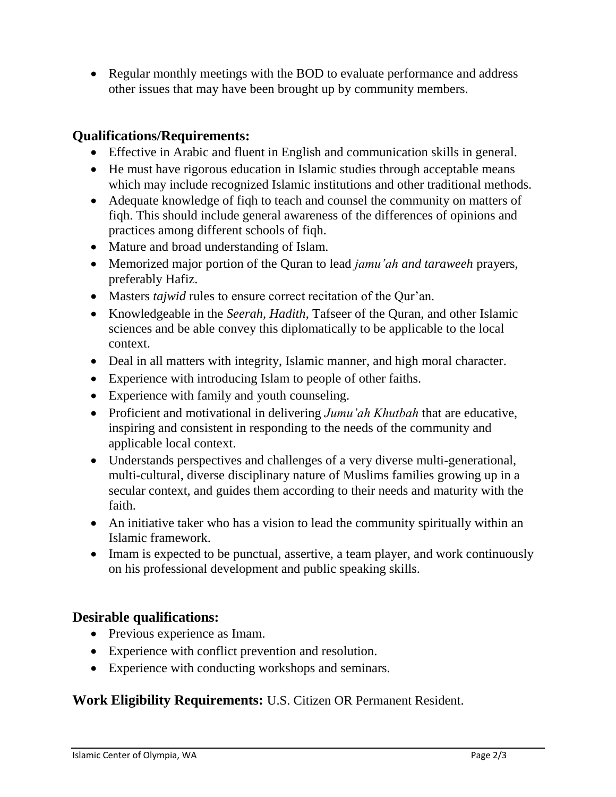• Regular monthly meetings with the BOD to evaluate performance and address other issues that may have been brought up by community members.

### **Qualifications/Requirements:**

- Effective in Arabic and fluent in English and communication skills in general.
- He must have rigorous education in Islamic studies through acceptable means which may include recognized Islamic institutions and other traditional methods.
- Adequate knowledge of figh to teach and counsel the community on matters of fiqh. This should include general awareness of the differences of opinions and practices among different schools of fiqh.
- Mature and broad understanding of Islam.
- Memorized major portion of the Quran to lead *jamu'ah and taraweeh* prayers, preferably Hafiz.
- Masters *tajwid* rules to ensure correct recitation of the Qur'an.
- Knowledgeable in the *Seerah, Hadith*, Tafseer of the Quran, and other Islamic sciences and be able convey this diplomatically to be applicable to the local context.
- Deal in all matters with integrity, Islamic manner, and high moral character.
- Experience with introducing Islam to people of other faiths.
- Experience with family and youth counseling.
- Proficient and motivational in delivering *Jumu'ah Khutbah* that are educative, inspiring and consistent in responding to the needs of the community and applicable local context.
- Understands perspectives and challenges of a very diverse multi-generational, multi-cultural, diverse disciplinary nature of Muslims families growing up in a secular context, and guides them according to their needs and maturity with the faith.
- An initiative taker who has a vision to lead the community spiritually within an Islamic framework.
- Imam is expected to be punctual, assertive, a team player, and work continuously on his professional development and public speaking skills.

#### **Desirable qualifications:**

- Previous experience as Imam.
- Experience with conflict prevention and resolution.
- Experience with conducting workshops and seminars.

#### **Work Eligibility Requirements:** U.S. Citizen OR Permanent Resident.